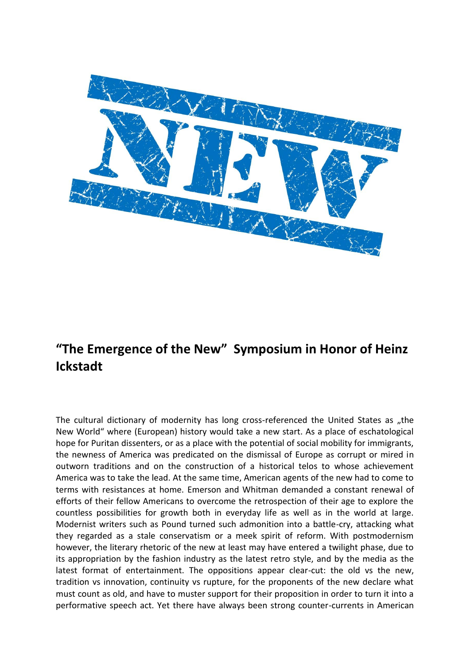

# **"The Emergence of the New" Symposium in Honor of Heinz Ickstadt**

The cultural dictionary of modernity has long cross-referenced the United States as "the New World" where (European) history would take a new start. As a place of eschatological hope for Puritan dissenters, or as a place with the potential of social mobility for immigrants, the newness of America was predicated on the dismissal of Europe as corrupt or mired in outworn traditions and on the construction of a historical telos to whose achievement America was to take the lead. At the same time, American agents of the new had to come to terms with resistances at home. Emerson and Whitman demanded a constant renewal of efforts of their fellow Americans to overcome the retrospection of their age to explore the countless possibilities for growth both in everyday life as well as in the world at large. Modernist writers such as Pound turned such admonition into a battle-cry, attacking what they regarded as a stale conservatism or a meek spirit of reform. With postmodernism however, the literary rhetoric of the new at least may have entered a twilight phase, due to its appropriation by the fashion industry as the latest retro style, and by the media as the latest format of entertainment. The oppositions appear clear-cut: the old vs the new, tradition vs innovation, continuity vs rupture, for the proponents of the new declare what must count as old, and have to muster support for their proposition in order to turn it into a performative speech act. Yet there have always been strong counter-currents in American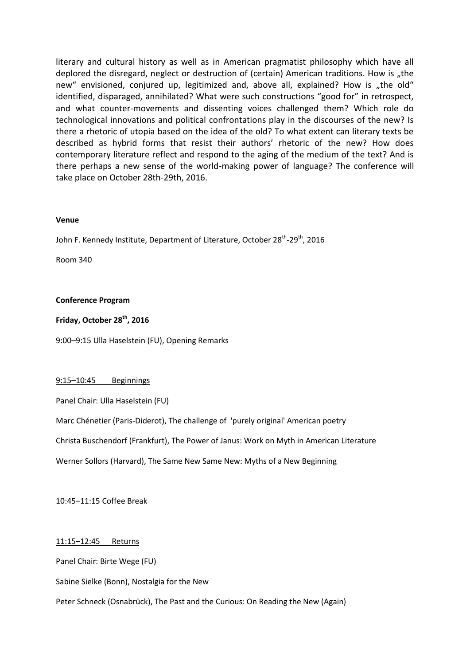literary and cultural history as well as in American pragmatist philosophy which have all deplored the disregard, neglect or destruction of (certain) American traditions. How is "the new" envisioned, conjured up, legitimized and, above all, explained? How is "the old" identified, disparaged, annihilated? What were such constructions "good for" in retrospect, and what counter-movements and dissenting voices challenged them? Which role do technological innovations and political confrontations play in the discourses of the new? Is there a rhetoric of utopia based on the idea of the old? To what extent can literary texts be described as hybrid forms that resist their authors' rhetoric of the new? How does contemporary literature reflect and respond to the aging of the medium of the text? And is there perhaps a new sense of the world-making power of language? The conference will take place on October 28th-29th, 2016.

#### **Venue**

John F. Kennedy Institute, Department of Literature, October 28<sup>th</sup>-29<sup>th</sup>, 2016

Room 340

#### **Conference Program**

### **Friday, October 28th, 2016**

9:00–9:15 Ulla Haselstein (FU), Opening Remarks

#### 9:15–10:45 Beginnings

Panel Chair: Ulla Haselstein (FU)

Marc Chénetier (Paris-Diderot), The challenge of 'purely original' American poetry

Christa Buschendorf (Frankfurt), The Power of Janus: Work on Myth in American Literature

Werner Sollors (Harvard), The Same New Same New: Myths of a New Beginning

10:45–11:15 Coffee Break

#### 11:15–12:45 Returns

Panel Chair: Birte Wege (FU)

Sabine Sielke (Bonn), Nostalgia for the New

Peter Schneck (Osnabrück), The Past and the Curious: On Reading the New (Again)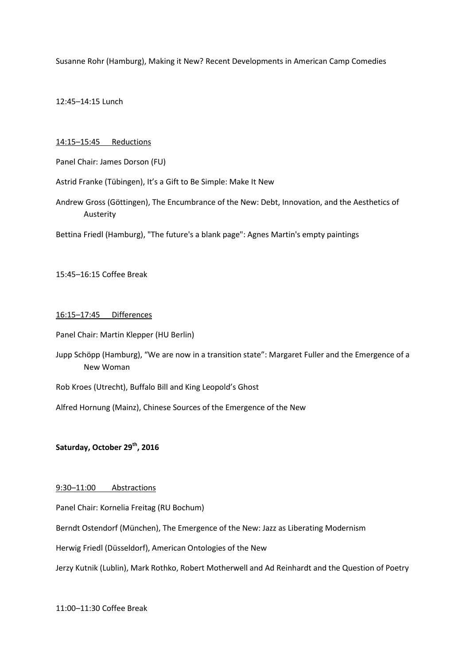Susanne Rohr (Hamburg), Making it New? Recent Developments in American Camp Comedies

12:45–14:15 Lunch

#### 14:15–15:45 Reductions

Panel Chair: James Dorson (FU)

Astrid Franke (Tübingen), It's a Gift to Be Simple: Make It New

Andrew Gross (Göttingen), The Encumbrance of the New: Debt, Innovation, and the Aesthetics of Austerity

Bettina Friedl (Hamburg), "The future's a blank page": Agnes Martin's empty paintings

#### 15:45–16:15 Coffee Break

#### 16:15–17:45 Differences

Panel Chair: Martin Klepper (HU Berlin)

- Jupp Schöpp (Hamburg), "We are now in a transition state": Margaret Fuller and the Emergence of a New Woman
- Rob Kroes (Utrecht), Buffalo Bill and King Leopold's Ghost
- Alfred Hornung (Mainz), Chinese Sources of the Emergence of the New

### **Saturday, October 29th , 2016**

#### 9:30–11:00 Abstractions

Panel Chair: Kornelia Freitag (RU Bochum)

Berndt Ostendorf (München), The Emergence of the New: Jazz as Liberating Modernism

Herwig Friedl (Düsseldorf), American Ontologies of the New

Jerzy Kutnik (Lublin), Mark Rothko, Robert Motherwell and Ad Reinhardt and the Question of Poetry

11:00–11:30 Coffee Break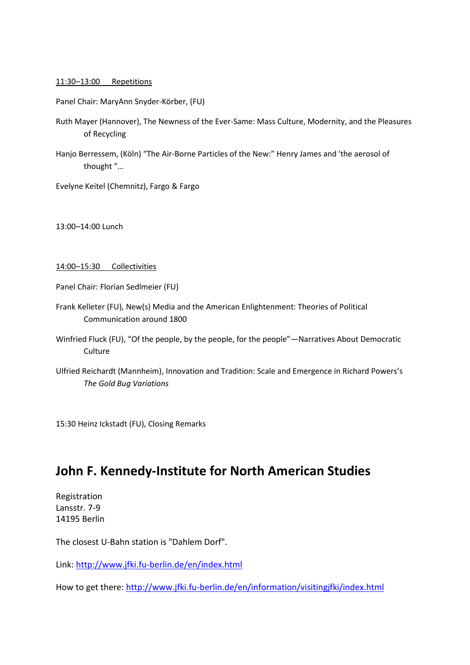#### 11:30–13:00 Repetitions

Panel Chair: MaryAnn Snyder-Körber, (FU)

- Ruth Mayer (Hannover), The Newness of the Ever-Same: Mass Culture, Modernity, and the Pleasures of Recycling
- Hanjo Berressem, (Köln) "The Air-Borne Particles of the New:" Henry James and 'the aerosol of thought "…

Evelyne Keitel (Chemnitz), Fargo & Fargo

13:00–14:00 Lunch

#### 14:00–15:30 Collectivities

Panel Chair: Florian Sedlmeier (FU)

- Frank Kelleter (FU), New(s) Media and the American Enlightenment: Theories of Political Communication around 1800
- Winfried Fluck (FU), "Of the people, by the people, for the people"—Narratives About Democratic Culture
- Ulfried Reichardt (Mannheim), Innovation and Tradition: Scale and Emergence in Richard Powers's *The Gold Bug Variations*

15:30 Heinz Ickstadt (FU), Closing Remarks

### **John F. Kennedy-Institute for North American Studies**

Registration Lansstr. 7-9 14195 Berlin

The closest U-Bahn station is "Dahlem Dorf".

Link: <http://www.jfki.fu-berlin.de/en/index.html>

How to get there: <http://www.jfki.fu-berlin.de/en/information/visitingjfki/index.html>